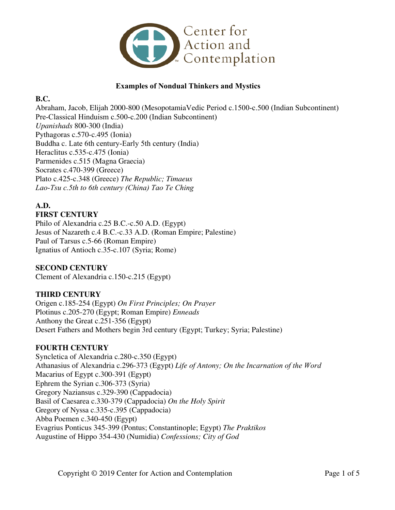

### **Examples of Nondual Thinkers and Mystics**

### **B.C.**

Abraham, Jacob, Elijah 2000-800 (MesopotamiaVedic Period c.1500-c.500 (Indian Subcontinent) Pre-Classical Hinduism c.500-c.200 (Indian Subcontinent) *Upanishads* 800-300 (India) Pythagoras c.570-c.495 (Ionia) Buddha c. Late 6th century-Early 5th century (India) Heraclitus c.535-c.475 (Ionia) Parmenides c.515 (Magna Graecia) Socrates c.470-399 (Greece) Plato c.425-c.348 (Greece) *The Republic; Timaeus Lao-Tsu c.5th to 6th century (China) Tao Te Ching* 

#### **A.D. FIRST CENTURY**

Philo of Alexandria c.25 B.C.-c.50 A.D. (Egypt) Jesus of Nazareth c.4 B.C.-c.33 A.D. (Roman Empire; Palestine) Paul of Tarsus c.5-66 (Roman Empire) Ignatius of Antioch c.35-c.107 (Syria; Rome)

### **SECOND CENTURY**

Clement of Alexandria c.150-c.215 (Egypt)

# **THIRD CENTURY**

Origen c.185-254 (Egypt) *On First Principles; On Prayer*  Plotinus c.205-270 (Egypt; Roman Empire) *Enneads*  Anthony the Great c.251-356 (Egypt) Desert Fathers and Mothers begin 3rd century (Egypt; Turkey; Syria; Palestine)

### **FOURTH CENTURY**

Syncletica of Alexandria c.280-c.350 (Egypt) Athanasius of Alexandria c.296-373 (Egypt) *Life of Antony; On the Incarnation of the Word* Macarius of Egypt c.300-391 (Egypt) Ephrem the Syrian c.306-373 (Syria) Gregory Naziansus c.329-390 (Cappadocia) Basil of Caesarea c.330-379 (Cappadocia) *On the Holy Spirit*  Gregory of Nyssa c.335-c.395 (Cappadocia) Abba Poemen c.340-450 (Egypt) Evagrius Ponticus 345-399 (Pontus; Constantinople; Egypt) *The Praktikos*  Augustine of Hippo 354-430 (Numidia) *Confessions; City of God*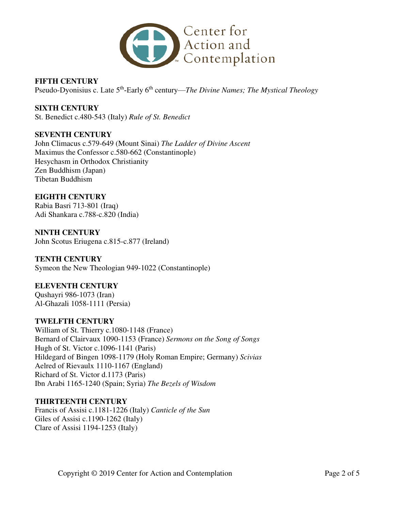

**FIFTH CENTURY**  Pseudo-Dyonisius c. Late 5<sup>th</sup>-Early 6<sup>th</sup> century—*The Divine Names; The Mystical Theology* 

**SIXTH CENTURY**  St. Benedict c.480-543 (Italy) *Rule of St. Benedict*

### **SEVENTH CENTURY**

John Climacus c.579-649 (Mount Sinai) *The Ladder of Divine Ascent*  Maximus the Confessor c.580-662 (Constantinople) Hesychasm in Orthodox Christianity Zen Buddhism (Japan) Tibetan Buddhism

### **EIGHTH CENTURY**

Rabia Basri 713-801 (Iraq) Adi Shankara c.788-c.820 (India)

**NINTH CENTURY**  John Scotus Eriugena c.815-c.877 (Ireland)

**TENTH CENTURY**  Symeon the New Theologian 949-1022 (Constantinople)

#### **ELEVENTH CENTURY**

Qushayri 986-1073 (Iran) Al-Ghazali 1058-1111 (Persia)

#### **TWELFTH CENTURY**

William of St. Thierry c.1080-1148 (France) Bernard of Clairvaux 1090-1153 (France) *Sermons on the Song of Songs*  Hugh of St. Victor c.1096-1141 (Paris) Hildegard of Bingen 1098-1179 (Holy Roman Empire; Germany) *Scivias*  Aelred of Rievaulx 1110-1167 (England) Richard of St. Victor d.1173 (Paris) Ibn Arabi 1165-1240 (Spain; Syria) *The Bezels of Wisdom* 

### **THIRTEENTH CENTURY**

Francis of Assisi c.1181-1226 (Italy) *Canticle of the Sun*  Giles of Assisi c.1190-1262 (Italy) Clare of Assisi 1194-1253 (Italy)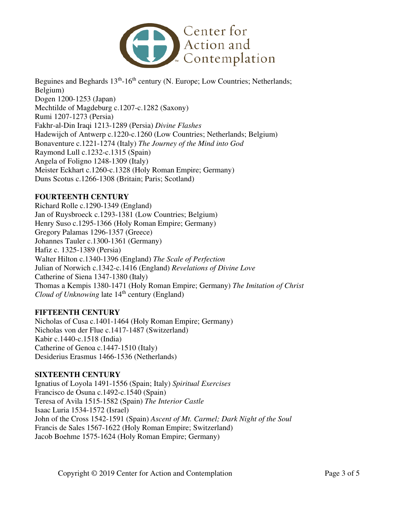

Beguines and Beghards  $13<sup>th</sup>$ -16<sup>th</sup> century (N. Europe; Low Countries; Netherlands; Belgium) Dogen 1200-1253 (Japan) Mechtilde of Magdeburg c.1207-c.1282 (Saxony) Rumi 1207-1273 (Persia) Fakhr-al-Din Iraqi 1213-1289 (Persia) *Divine Flashes*  Hadewijch of Antwerp c.1220-c.1260 (Low Countries; Netherlands; Belgium) Bonaventure c.1221-1274 (Italy) *The Journey of the Mind into God*  Raymond Lull c.1232-c.1315 (Spain) Angela of Foligno 1248-1309 (Italy) Meister Eckhart c.1260-c.1328 (Holy Roman Empire; Germany) Duns Scotus c.1266-1308 (Britain; Paris; Scotland)

## **FOURTEENTH CENTURY**

Richard Rolle c.1290-1349 (England) Jan of Ruysbroeck c.1293-1381 (Low Countries; Belgium) Henry Suso c.1295-1366 (Holy Roman Empire; Germany) Gregory Palamas 1296-1357 (Greece) Johannes Tauler c.1300-1361 (Germany) Hafiz c. 1325-1389 (Persia) Walter Hilton c.1340-1396 (England) *The Scale of Perfection*  Julian of Norwich c.1342-c.1416 (England) *Revelations of Divine Love*  Catherine of Siena 1347-1380 (Italy) Thomas a Kempis 1380-1471 (Holy Roman Empire; Germany) *The Imitation of Christ Cloud of Unknowing* late 14<sup>th</sup> century (England)

### **FIFTEENTH CENTURY**

Nicholas of Cusa c.1401-1464 (Holy Roman Empire; Germany) Nicholas von der Flue c.1417-1487 (Switzerland) Kabir c.1440-c.1518 (India) Catherine of Genoa c.1447-1510 (Italy) Desiderius Erasmus 1466-1536 (Netherlands)

### **SIXTEENTH CENTURY**

Ignatius of Loyola 1491-1556 (Spain; Italy) *Spiritual Exercises*  Francisco de Osuna c.1492-c.1540 (Spain) Teresa of Avila 1515-1582 (Spain) *The Interior Castle*  Isaac Luria 1534-1572 (Israel) John of the Cross 1542-1591 (Spain) *Ascent of Mt. Carmel; Dark Night of the Soul*  Francis de Sales 1567-1622 (Holy Roman Empire; Switzerland) Jacob Boehme 1575-1624 (Holy Roman Empire; Germany)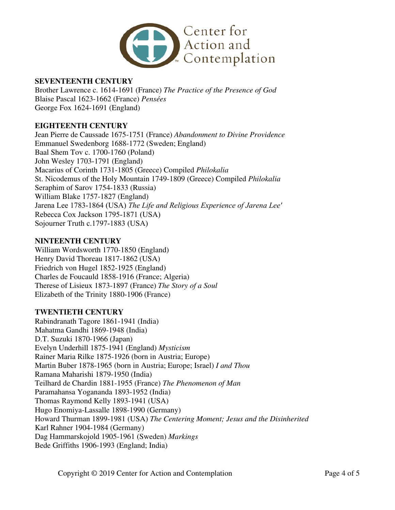

#### **SEVENTEENTH CENTURY**

Brother Lawrence c. 1614-1691 (France) *The Practice of the Presence of God* Blaise Pascal 1623-1662 (France) *Pensées* George Fox 1624-1691 (England)

### **EIGHTEENTH CENTURY**

Jean Pierre de Caussade 1675-1751 (France) *Abandonment to Divine Providence*  Emmanuel Swedenborg 1688-1772 (Sweden; England) Baal Shem Tov c. 1700-1760 (Poland) John Wesley 1703-1791 (England) Macarius of Corinth 1731-1805 (Greece) Compiled *Philokalia* St. Nicodemus of the Holy Mountain 1749-1809 (Greece) Compiled *Philokalia*  Seraphim of Sarov 1754-1833 (Russia) William Blake 1757-1827 (England) Jarena Lee 1783-1864 (USA) *The Life and Religious Experience of Jarena Lee'* Rebecca Cox Jackson 1795-1871 (USA) Sojourner Truth c.1797-1883 (USA)

#### **NINTEENTH CENTURY**

William Wordsworth 1770-1850 (England) Henry David Thoreau 1817-1862 (USA) Friedrich von Hugel 1852-1925 (England) Charles de Foucauld 1858-1916 (France; Algeria) Therese of Lisieux 1873-1897 (France) *The Story of a Soul*  Elizabeth of the Trinity 1880-1906 (France)

#### **TWENTIETH CENTURY**

Rabindranath Tagore 1861-1941 (India) Mahatma Gandhi 1869-1948 (India) D.T. Suzuki 1870-1966 (Japan) Evelyn Underhill 1875-1941 (England) *Mysticism* Rainer Maria Rilke 1875-1926 (born in Austria; Europe) Martin Buber 1878-1965 (born in Austria; Europe; Israel) *I and Thou* Ramana Maharishi 1879-1950 (India) Teilhard de Chardin 1881-1955 (France) *The Phenomenon of Man* Paramahansa Yogananda 1893-1952 (India) Thomas Raymond Kelly 1893-1941 (USA) Hugo Enomiya-Lassalle 1898-1990 (Germany) Howard Thurman 1899-1981 (USA) *The Centering Moment; Jesus and the Disinherited* Karl Rahner 1904-1984 (Germany) Dag Hammarskojold 1905-1961 (Sweden) *Markings* Bede Griffiths 1906-1993 (England; India)